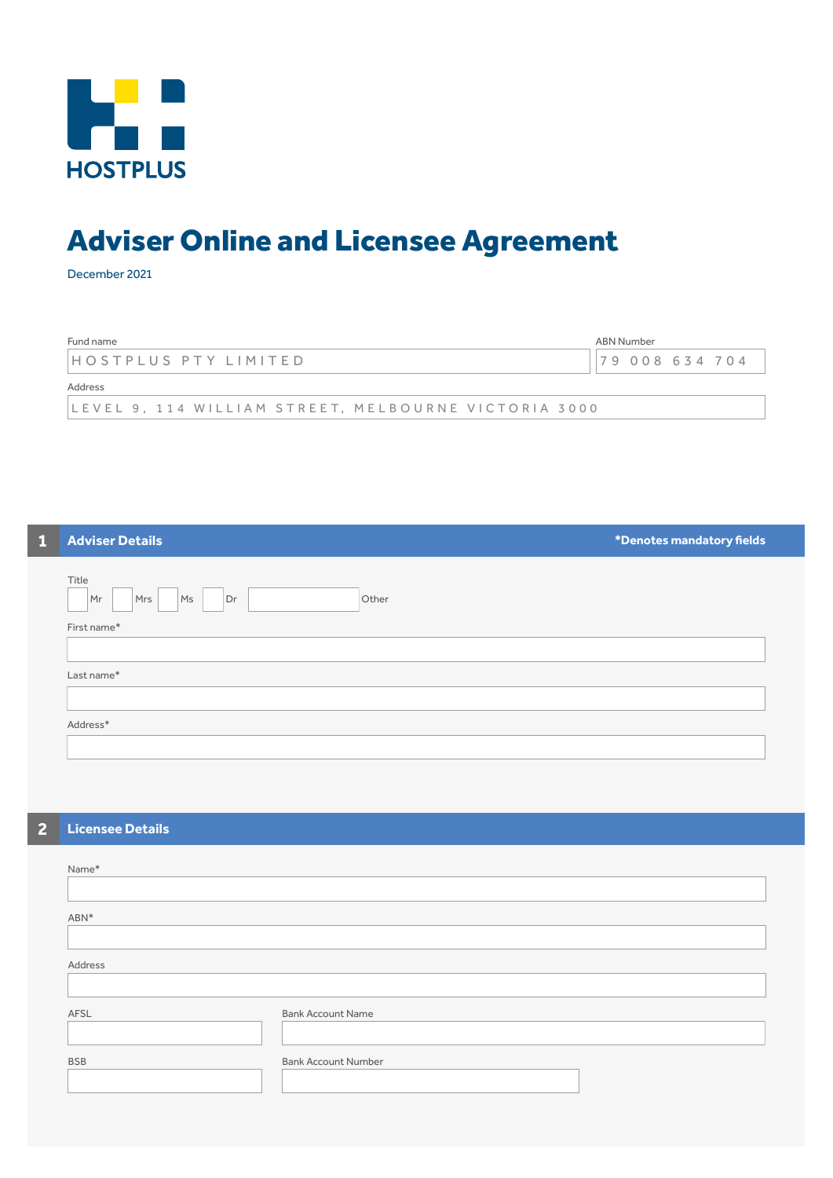

# Adviser Online and Licensee Agreement

December 2021

| Fund name                                            | ABN Number |             |  |
|------------------------------------------------------|------------|-------------|--|
| HOSTPLUS PTY LIMITED                                 |            | 79008634704 |  |
| Address                                              |            |             |  |
| LEVEL 9. 114 WILLIAM STREET. MELBOURNE VICTORIA 3000 |            |             |  |

# **1 Adviser Details \*Denotes mandatory fields**

| Title<br>Other<br>Ms<br>Dr<br>Mr<br>Mrs |  |
|-----------------------------------------|--|
| First name*                             |  |
|                                         |  |
| Last name*                              |  |
|                                         |  |
| Address*                                |  |
|                                         |  |

# **2 Licensee Details**

| Name*      |                            |
|------------|----------------------------|
|            |                            |
| ABN*       |                            |
|            |                            |
| Address    |                            |
|            |                            |
| AFSL       | <b>Bank Account Name</b>   |
|            |                            |
| <b>BSB</b> | <b>Bank Account Number</b> |
|            |                            |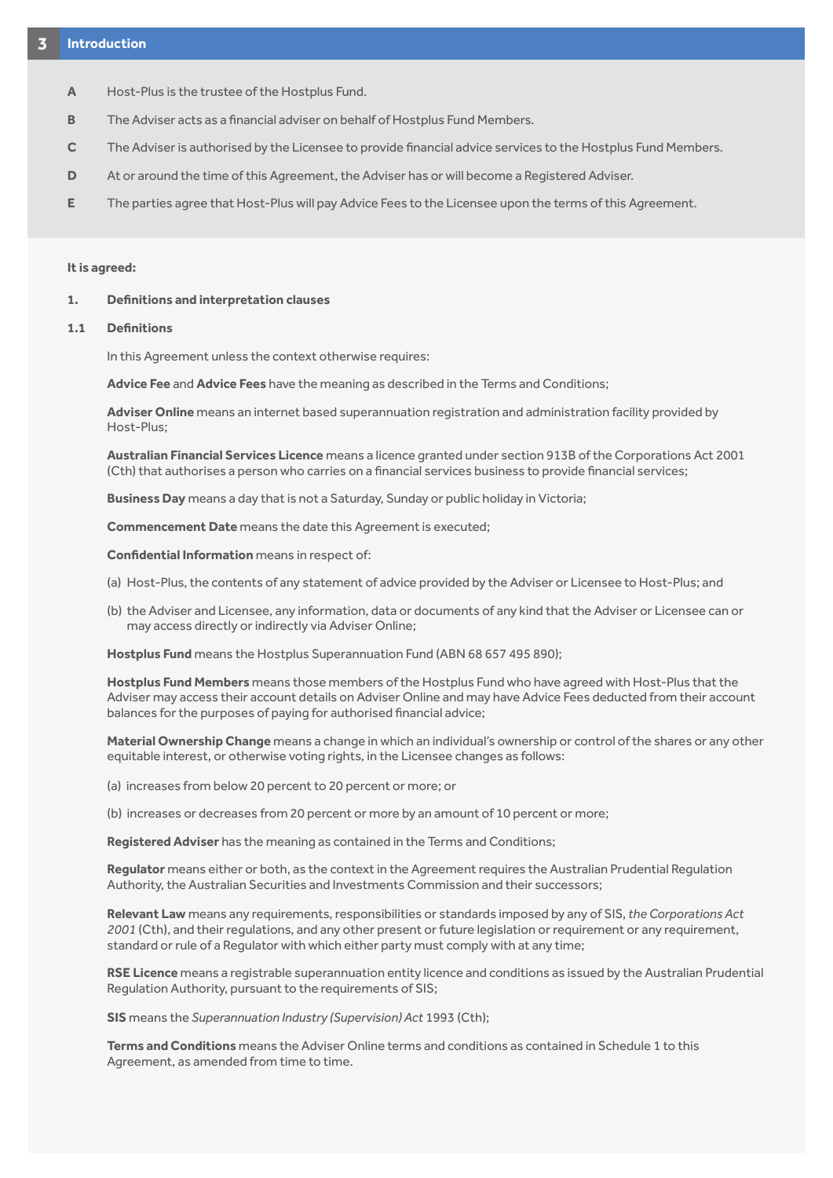- **A** Host-Plus is the trustee of the Hostplus Fund.
- **B** The Adviser acts as a financial adviser on behalf of Hostplus Fund Members.
- **C** The Adviser is authorised by the Licensee to provide financial advice services to the Hostplus Fund Members.
- **D** At or around the time of this Agreement, the Adviser has or will become a Registered Adviser.
- **E** The parties agree that Host-Plus will pay Advice Fees to the Licensee upon the terms of this Agreement.

# **It is agreed:**

#### **1. Definitions and interpretation clauses**

# **1.1 Definitions**

In this Agreement unless the context otherwise requires:

**Advice Fee** and **Advice Fees** have the meaning as described in the Terms and Conditions;

**Adviser Online** means an internet based superannuation registration and administration facility provided by Host-Plus;

**Australian Financial Services Licence** means a licence granted under section 913B of the Corporations Act 2001 (Cth) that authorises a person who carries on a financial services business to provide financial services;

**Business Day** means a day that is not a Saturday, Sunday or public holiday in Victoria;

**Commencement Date** means the date this Agreement is executed;

**Confidential Information** means in respect of:

- (a) Host-Plus, the contents of any statement of advice provided by the Adviser or Licensee to Host-Plus; and
- (b) the Adviser and Licensee, any information, data or documents of any kind that the Adviser or Licensee can or may access directly or indirectly via Adviser Online;

**Hostplus Fund** means the Hostplus Superannuation Fund (ABN 68 657 495 890);

**Hostplus Fund Members** means those members of the Hostplus Fund who have agreed with Host-Plus that the Adviser may access their account details on Adviser Online and may have Advice Fees deducted from their account balances for the purposes of paying for authorised financial advice;

**Material Ownership Change** means a change in which an individual's ownership or control of the shares or any other equitable interest, or otherwise voting rights, in the Licensee changes as follows:

(a) increases from below 20 percent to 20 percent or more; or

(b) increases or decreases from 20 percent or more by an amount of 10 percent or more;

**Registered Adviser** has the meaning as contained in the Terms and Conditions;

**Regulator** means either or both, as the context in the Agreement requires the Australian Prudential Regulation Authority, the Australian Securities and Investments Commission and their successors;

**Relevant Law** means any requirements, responsibilities or standards imposed by any of SIS, *the Corporations Act 2001* (Cth), and their regulations, and any other present or future legislation or requirement or any requirement, standard or rule of a Regulator with which either party must comply with at any time;

**RSE Licence** means a registrable superannuation entity licence and conditions as issued by the Australian Prudential Regulation Authority, pursuant to the requirements of SIS;

**SIS** means the *Superannuation Industry (Supervision) Act* 1993 (Cth);

**Terms and Conditions** means the Adviser Online terms and conditions as contained in Schedule 1 to this Agreement, as amended from time to time.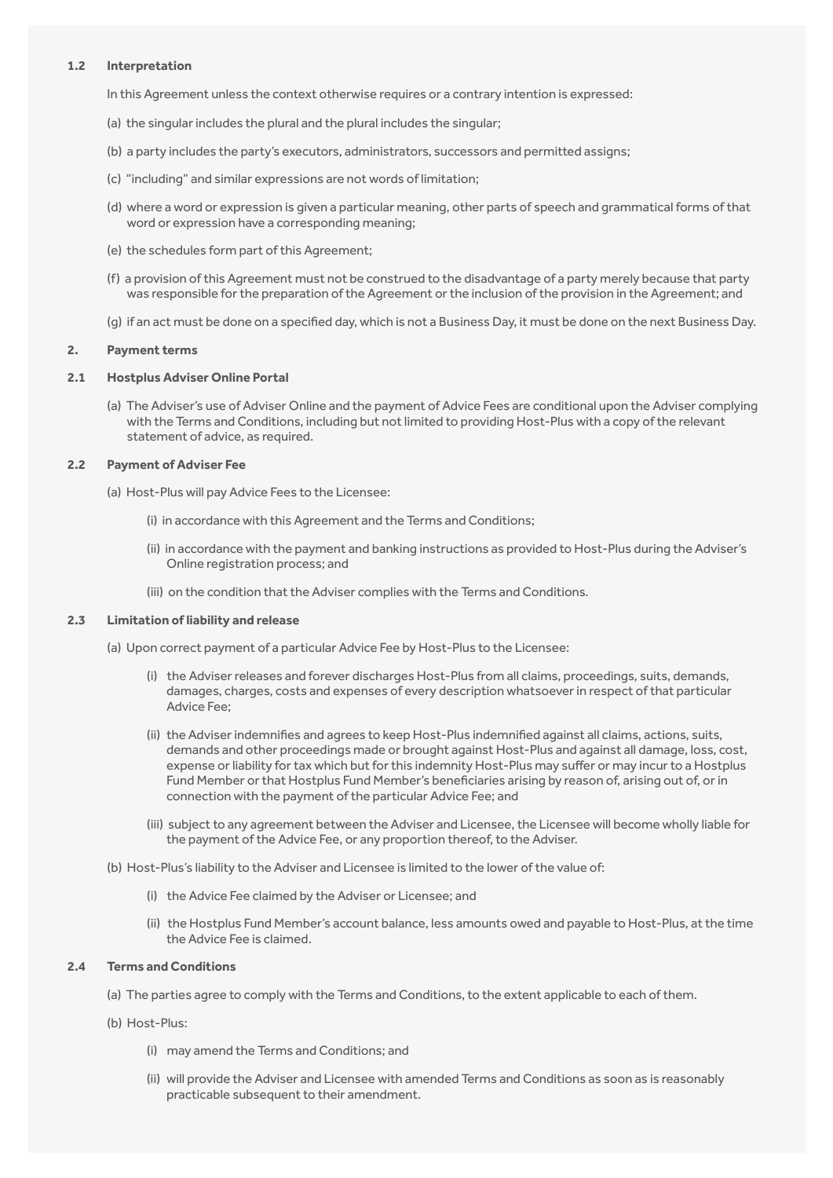#### **1.2 Interpretation**

In this Agreement unless the context otherwise requires or a contrary intention is expressed:

- (a) the singular includes the plural and the plural includes the singular;
- (b) a party includes the party's executors, administrators, successors and permitted assigns;
- (c) "including" and similar expressions are not words of limitation;
- (d) where a word or expression is given a particular meaning, other parts of speech and grammatical forms of that word or expression have a corresponding meaning;
- (e) the schedules form part of this Agreement;
- (f) a provision of this Agreement must not be construed to the disadvantage of a party merely because that party was responsible for the preparation of the Agreement or the inclusion of the provision in the Agreement; and
- (g) if an act must be done on a specified day, which is not a Business Day, it must be done on the next Business Day.

#### **2. Payment terms**

## **2.1 Hostplus Adviser Online Portal**

(a) The Adviser's use of Adviser Online and the payment of Advice Fees are conditional upon the Adviser complying with the Terms and Conditions, including but not limited to providing Host-Plus with a copy of the relevant statement of advice, as required.

#### **2.2 Payment of Adviser Fee**

(a) Host-Plus will pay Advice Fees to the Licensee:

- (i) in accordance with this Agreement and the Terms and Conditions;
- (ii) in accordance with the payment and banking instructions as provided to Host-Plus during the Adviser's Online registration process; and
- <span id="page-2-0"></span>(iii) on the condition that the Adviser complies with the Terms and Conditions.

#### **2.3 Limitation of liability and release**

(a) Upon correct payment of a particular Advice Fee by Host-Plus to the Licensee:

- (i) the Adviser releases and forever discharges Host-Plus from all claims, proceedings, suits, demands, damages, charges, costs and expenses of every description whatsoever in respect of that particular Advice Fee;
- (ii) the Adviser indemnifies and agrees to keep Host-Plus indemnified against all claims, actions, suits, demands and other proceedings made or brought against Host-Plus and against all damage, loss, cost, expense or liability for tax which but for this indemnity Host-Plus may suffer or may incur to a Hostplus Fund Member or that Hostplus Fund Member's beneficiaries arising by reason of, arising out of, or in connection with the payment of the particular Advice Fee; and
- (iii) subject to any agreement between the Adviser and Licensee, the Licensee will become wholly liable for the payment of the Advice Fee, or any proportion thereof, to the Adviser.

(b) Host-Plus's liability to the Adviser and Licensee is limited to the lower of the value of:

- (i) the Advice Fee claimed by the Adviser or Licensee; and
- (ii) the Hostplus Fund Member's account balance, less amounts owed and payable to Host-Plus, at the time the Advice Fee is claimed.

# **2.4 Terms and Conditions**

- (a) The parties agree to comply with the Terms and Conditions, to the extent applicable to each of them.
- (b) Host-Plus:
	- (i) may amend the Terms and Conditions; and
	- (ii) will provide the Adviser and Licensee with amended Terms and Conditions as soon as is reasonably practicable subsequent to their amendment.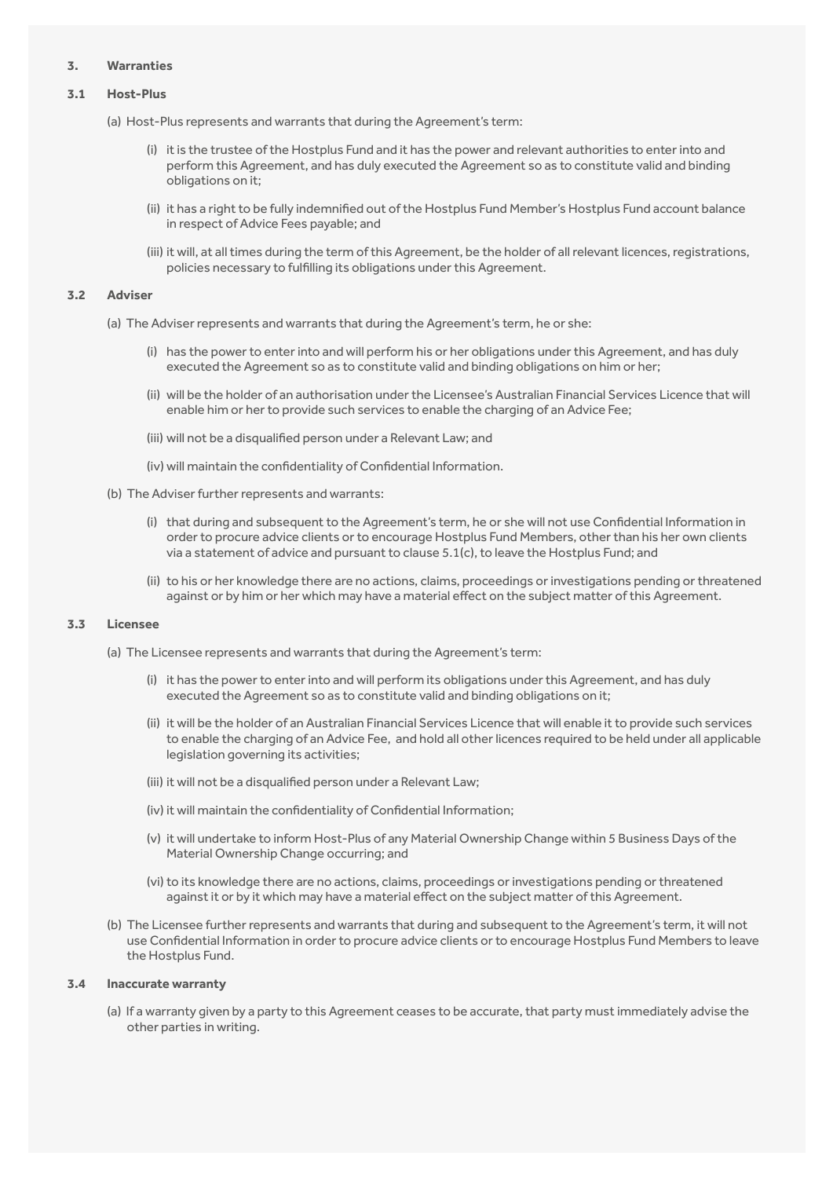#### **3. Warranties**

#### **3.1 Host-Plus**

- (a) Host-Plus represents and warrants that during the Agreement's term:
	- (i) it is the trustee of the Hostplus Fund and it has the power and relevant authorities to enter into and perform this Agreement, and has duly executed the Agreement so as to constitute valid and binding obligations on it;
	- (ii) it has a right to be fully indemnified out of the Hostplus Fund Member's Hostplus Fund account balance in respect of Advice Fees payable; and
	- (iii) it will, at all times during the term of this Agreement, be the holder of all relevant licences, registrations, policies necessary to fulfilling its obligations under this Agreement.

#### **3.2 Adviser**

- (a) The Adviser represents and warrants that during the Agreement's term, he or she:
	- (i) has the power to enter into and will perform his or her obligations under this Agreement, and has duly executed the Agreement so as to constitute valid and binding obligations on him or her;
	- (ii) will be the holder of an authorisation under the Licensee's Australian Financial Services Licence that will enable him or her to provide such services to enable the charging of an Advice Fee;
	- (iii) will not be a disqualified person under a Relevant Law; and
	- (iv) will maintain the confidentiality of Confidential Information.
- (b) The Adviser further represents and warrants:
	- (i) that during and subsequent to the Agreement's term, he or she will not use Confidential Information in order to procure advice clients or to encourage Hostplus Fund Members, other than his her own clients via a statement of advice and pursuant to clause [5.1\(c\)](#page-4-0), to leave the Hostplus Fund; and
	- (ii) to his or her knowledge there are no actions, claims, proceedings or investigations pending or threatened against or by him or her which may have a material effect on the subject matter of this Agreement.

#### **3.3 Licensee**

- (a) The Licensee represents and warrants that during the Agreement's term:
	- (i) it has the power to enter into and will perform its obligations under this Agreement, and has duly executed the Agreement so as to constitute valid and binding obligations on it;
	- (ii) it will be the holder of an Australian Financial Services Licence that will enable it to provide such services to enable the charging of an Advice Fee, and hold all other licences required to be held under all applicable legislation governing its activities;
	- (iii) it will not be a disqualified person under a Relevant Law;
	- (iv) it will maintain the confidentiality of Confidential Information;
	- (v) it will undertake to inform Host-Plus of any Material Ownership Change within 5 Business Days of the Material Ownership Change occurring; and
	- (vi) to its knowledge there are no actions, claims, proceedings or investigations pending or threatened against it or by it which may have a material effect on the subject matter of this Agreement.
- (b) The Licensee further represents and warrants that during and subsequent to the Agreement's term, it will not use Confidential Information in order to procure advice clients or to encourage Hostplus Fund Members to leave the Hostplus Fund.

#### **3.4 Inaccurate warranty**

(a) If a warranty given by a party to this Agreement ceases to be accurate, that party must immediately advise the other parties in writing.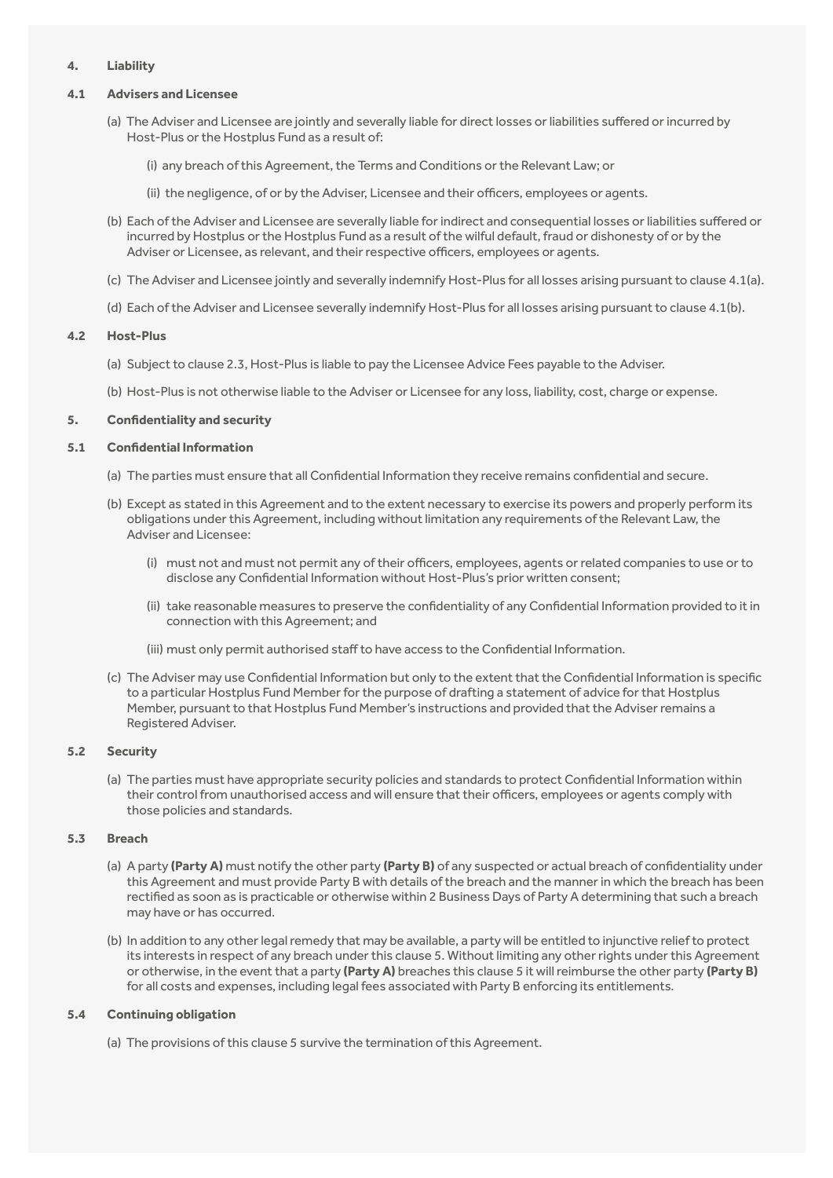# **4. Liability**

#### **4.1 Advisers and Licensee**

- <span id="page-4-1"></span>(a) The Adviser and Licensee are jointly and severally liable for direct losses or liabilities suffered or incurred by Host-Plus or the Hostplus Fund as a result of:
	- (i) any breach of this Agreement, the Terms and Conditions or the Relevant Law; or
	- (ii) the negligence, of or by the Adviser, Licensee and their officers, employees or agents.
- <span id="page-4-2"></span>(b) Each of the Adviser and Licensee are severally liable for indirect and consequential losses or liabilities suffered or incurred by Hostplus or the Hostplus Fund as a result of the wilful default, fraud or dishonesty of or by the Adviser or Licensee, as relevant, and their respective officers, employees or agents.
- (c) The Adviser and Licensee jointly and severally indemnify Host-Plus for all losses arising pursuant to clause [4.1\(a\)](#page-4-1).
- (d) Each of the Adviser and Licensee severally indemnify Host-Plus for all losses arising pursuant to clause [4.1\(b\)](#page-4-2).

#### **4.2 Host-Plus**

(a) Subject to clause [2.3,](#page-2-0) Host-Plus is liable to pay the Licensee Advice Fees payable to the Adviser.

<span id="page-4-3"></span>(b) Host-Plus is not otherwise liable to the Adviser or Licensee for any loss, liability, cost, charge or expense.

# **5. Confidentiality and security**

#### **5.1 Confidential Information**

- (a) The parties must ensure that all Confidential Information they receive remains confidential and secure.
- (b) Except as stated in this Agreement and to the extent necessary to exercise its powers and properly perform its obligations under this Agreement, including without limitation any requirements of the Relevant Law, the Adviser and Licensee:
	- (i) must not and must not permit any of their officers, employees, agents or related companies to use or to disclose any Confidential Information without Host-Plus's prior written consent;
	- (ii) take reasonable measures to preserve the confidentiality of any Confidential Information provided to it in connection with this Agreement; and
	- (iii) must only permit authorised staff to have access to the Confidential Information.
- <span id="page-4-0"></span>(c) The Adviser may use Confidential Information but only to the extent that the Confidential Information is specific to a particular Hostplus Fund Member for the purpose of drafting a statement of advice for that Hostplus Member, pursuant to that Hostplus Fund Member's instructions and provided that the Adviser remains a Registered Adviser.

#### **5.2 Security**

(a) The parties must have appropriate security policies and standards to protect Confidential Information within their control from unauthorised access and will ensure that their officers, employees or agents comply with those policies and standards.

#### **5.3 Breach**

- (a) A party **(Party A)** must notify the other party **(Party B)** of any suspected or actual breach of confidentiality under this Agreement and must provide Party B with details of the breach and the manner in which the breach has been rectified as soon as is practicable or otherwise within 2 Business Days of Party A determining that such a breach may have or has occurred.
- (b) In addition to any other legal remedy that may be available, a party will be entitled to injunctive relief to protect its interests in respect of any breach under this clause [5.](#page-4-3) Without limiting any other rights under this Agreement or otherwise, in the event that a party **(Party A)** breaches this clause [5](#page-4-3) it will reimburse the other party **(Party B)**  for all costs and expenses, including legal fees associated with Party B enforcing its entitlements.

#### **5.4 Continuing obligation**

(a) The provisions of this clause [5](#page-4-3) survive the termination of this Agreement.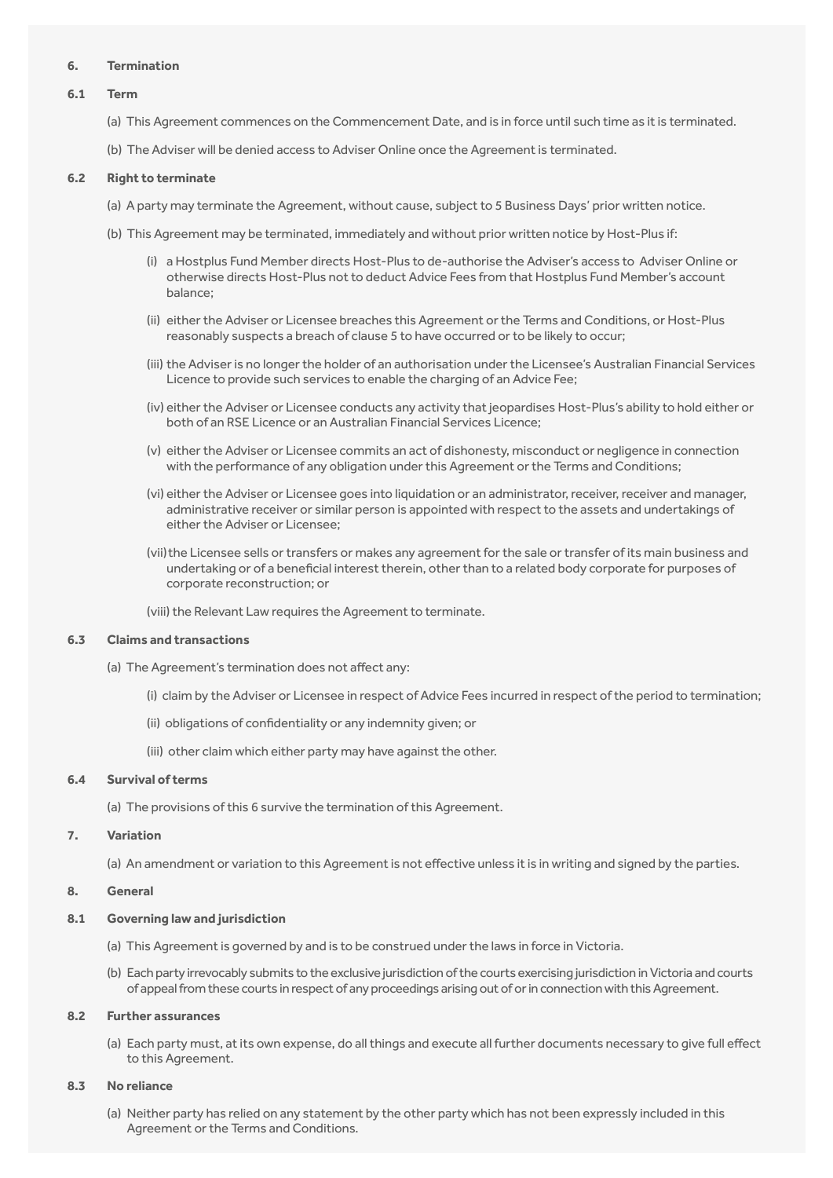#### **6. Termination**

#### **6.1 Term**

- <span id="page-5-0"></span>(a) This Agreement commences on the Commencement Date, and is in force until such time as it is terminated.
- (b) The Adviser will be denied access to Adviser Online once the Agreement is terminated.

#### **6.2 Right to terminate**

- (a) A party may terminate the Agreement, without cause, subject to 5 Business Days' prior written notice.
- (b) This Agreement may be terminated, immediately and without prior written notice by Host-Plus if:
	- (i) a Hostplus Fund Member directs Host-Plus to de-authorise the Adviser's access to Adviser Online or otherwise directs Host-Plus not to deduct Advice Fees from that Hostplus Fund Member's account balance;
	- (ii) either the Adviser or Licensee breaches this Agreement or the Terms and Conditions, or Host-Plus reasonably suspects a breach of clause [5](#page-4-3) to have occurred or to be likely to occur;
	- (iii) the Adviser is no longer the holder of an authorisation under the Licensee's Australian Financial Services Licence to provide such services to enable the charging of an Advice Fee;
	- (iv) either the Adviser or Licensee conducts any activity that jeopardises Host-Plus's ability to hold either or both of an RSE Licence or an Australian Financial Services Licence;
	- (v) either the Adviser or Licensee commits an act of dishonesty, misconduct or negligence in connection with the performance of any obligation under this Agreement or the Terms and Conditions;
	- (vi) either the Adviser or Licensee goes into liquidation or an administrator, receiver, receiver and manager, administrative receiver or similar person is appointed with respect to the assets and undertakings of either the Adviser or Licensee;
	- (vii) the Licensee sells or transfers or makes any agreement for the sale or transfer of its main business and undertaking or of a beneficial interest therein, other than to a related body corporate for purposes of corporate reconstruction; or
	- (viii) the Relevant Law requires the Agreement to terminate.

#### **6.3 Claims and transactions**

- (a) The Agreement's termination does not affect any:
	- (i) claim by the Adviser or Licensee in respect of Advice Fees incurred in respect of the period to termination;
	- (ii) obligations of confidentiality or any indemnity given; or
	- (iii) other claim which either party may have against the other.

#### **6.4 Survival of terms**

(a) The provisions of this [6](#page-5-0) survive the termination of this Agreement.

#### **7. Variation**

(a) An amendment or variation to this Agreement is not effective unless it is in writing and signed by the parties.

#### **8. General**

#### **8.1 Governing law and jurisdiction**

- (a) This Agreement is governed by and is to be construed under the laws in force in Victoria.
- (b) Each party irrevocably submits to the exclusive jurisdiction of the courts exercising jurisdiction in Victoria and courts of appeal from these courts in respect of any proceedings arising out of or in connection with this Agreement.

# **8.2 Further assurances**

(a) Each party must, at its own expense, do all things and execute all further documents necessary to give full effect to this Agreement.

# **8.3 No reliance**

(a) Neither party has relied on any statement by the other party which has not been expressly included in this Agreement or the Terms and Conditions.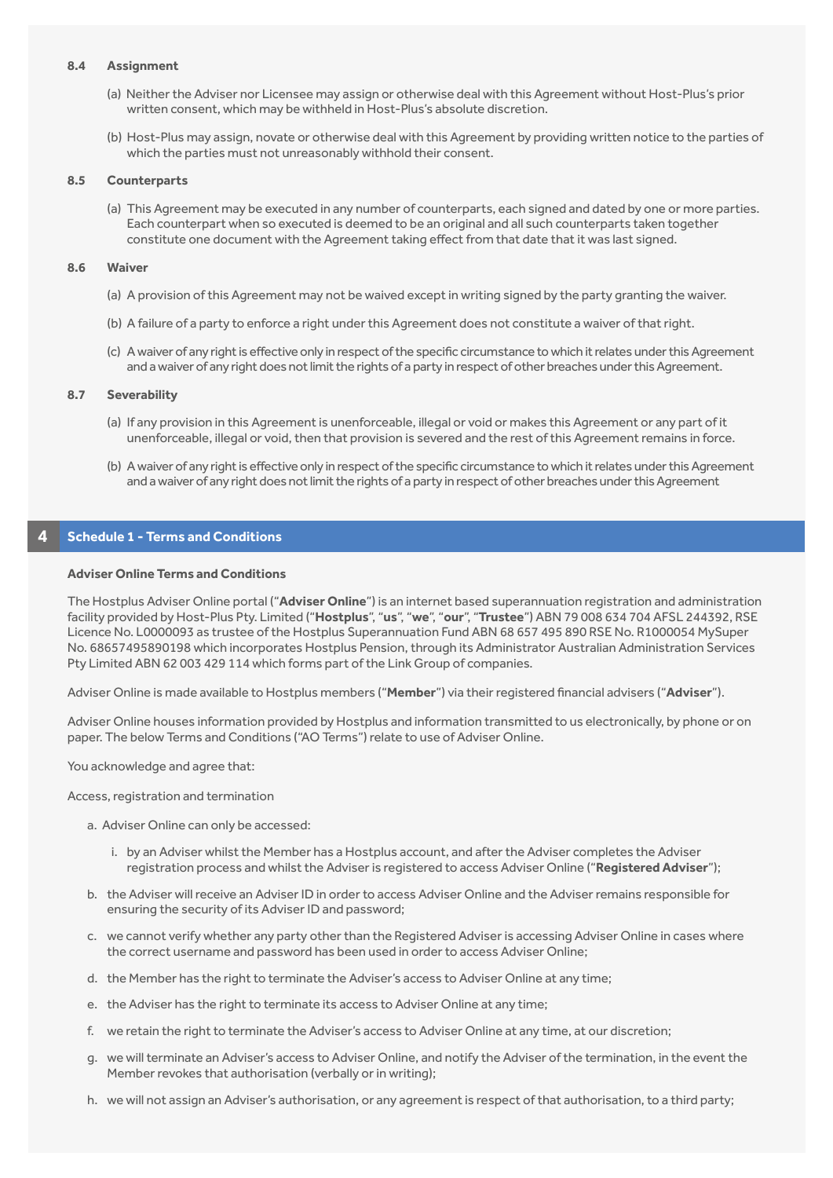#### **8.4 Assignment**

- (a) Neither the Adviser nor Licensee may assign or otherwise deal with this Agreement without Host-Plus's prior written consent, which may be withheld in Host-Plus's absolute discretion.
- (b) Host-Plus may assign, novate or otherwise deal with this Agreement by providing written notice to the parties of which the parties must not unreasonably withhold their consent.

#### **8.5 Counterparts**

(a) This Agreement may be executed in any number of counterparts, each signed and dated by one or more parties. Each counterpart when so executed is deemed to be an original and all such counterparts taken together constitute one document with the Agreement taking effect from that date that it was last signed.

#### **8.6 Waiver**

- (a) A provision of this Agreement may not be waived except in writing signed by the party granting the waiver.
- (b) A failure of a party to enforce a right under this Agreement does not constitute a waiver of that right.
- (c) A waiver of any right is effective only in respect of the specific circumstance to which it relates under this Agreement and a waiver of any right does not limit the rights of a party in respect of other breaches under this Agreement.

#### **8.7 Severability**

- (a) If any provision in this Agreement is unenforceable, illegal or void or makes this Agreement or any part of it unenforceable, illegal or void, then that provision is severed and the rest of this Agreement remains in force.
- (b) A waiver of any right is effective only in respect of the specific circumstance to which it relates under this Agreement and a waiver of any right does not limit the rights of a party in respect of other breaches under this Agreement

## **4 Schedule 1 - Terms and Conditions**

#### **Adviser Online Terms and Conditions**

The Hostplus Adviser Online portal ("**Adviser Online**") is an internet based superannuation registration and administration facility provided by Host-Plus Pty. Limited ("**Hostplus**", "**us**", "**we**", "**our**", "**Trustee**") ABN 79 008 634 704 AFSL 244392, RSE Licence No. L0000093 as trustee of the Hostplus Superannuation Fund ABN 68 657 495 890 RSE No. R1000054 MySuper No. 68657495890198 which incorporates Hostplus Pension, through its Administrator Australian Administration Services Pty Limited ABN 62 003 429 114 which forms part of the Link Group of companies.

Adviser Online is made available to Hostplus members ("**Member**") via their registered financial advisers ("**Adviser**").

Adviser Online houses information provided by Hostplus and information transmitted to us electronically, by phone or on paper. The below Terms and Conditions ("AO Terms") relate to use of Adviser Online.

You acknowledge and agree that:

Access, registration and termination

- a. Adviser Online can only be accessed:
	- i. by an Adviser whilst the Member has a Hostplus account, and after the Adviser completes the Adviser registration process and whilst the Adviser is registered to access Adviser Online ("**Registered Adviser**");
- b. the Adviser will receive an Adviser ID in order to access Adviser Online and the Adviser remains responsible for ensuring the security of its Adviser ID and password;
- c. we cannot verify whether any party other than the Registered Adviser is accessing Adviser Online in cases where the correct username and password has been used in order to access Adviser Online;
- d. the Member has the right to terminate the Adviser's access to Adviser Online at any time;
- e. the Adviser has the right to terminate its access to Adviser Online at any time;
- f. we retain the right to terminate the Adviser's access to Adviser Online at any time, at our discretion;
- g. we will terminate an Adviser's access to Adviser Online, and notify the Adviser of the termination, in the event the Member revokes that authorisation (verbally or in writing);
- h. we will not assign an Adviser's authorisation, or any agreement is respect of that authorisation, to a third party;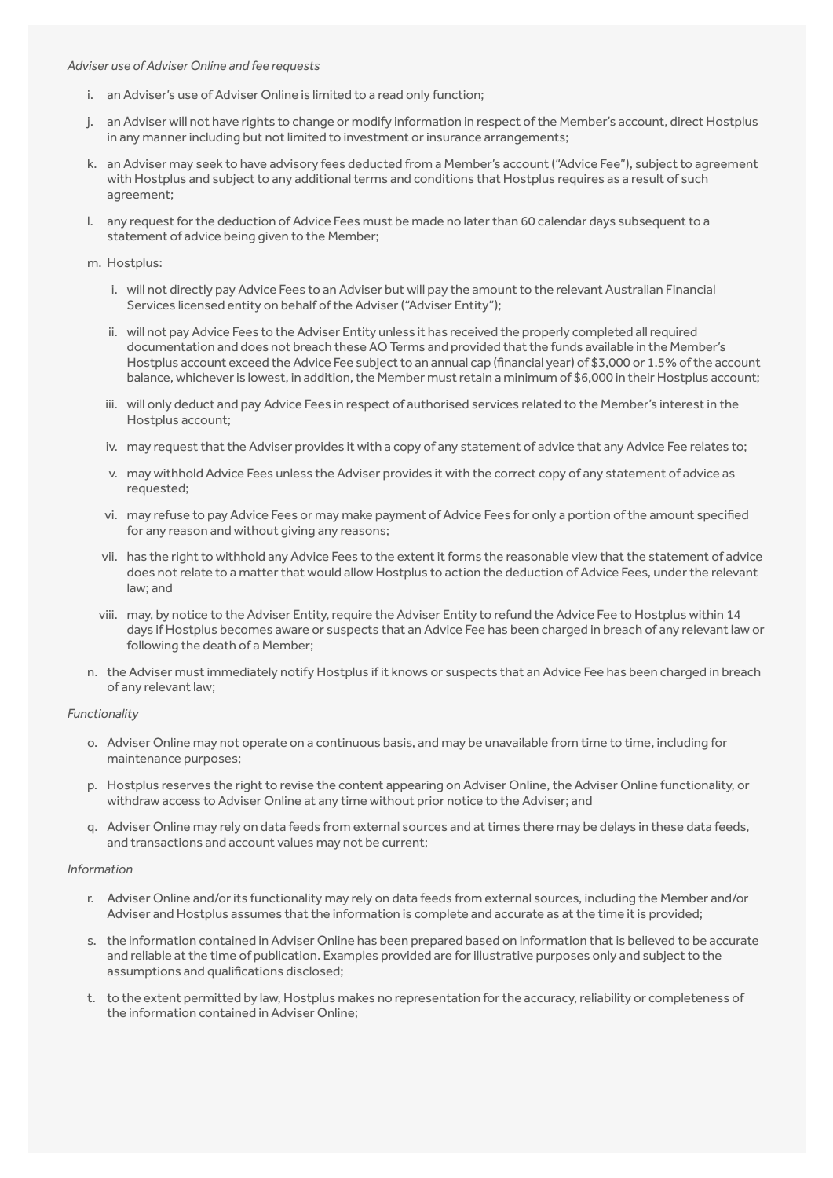#### *Adviser use of Adviser Online and fee requests*

- i. an Adviser's use of Adviser Online is limited to a read only function;
- j. an Adviser will not have rights to change or modify information in respect of the Member's account, direct Hostplus in any manner including but not limited to investment or insurance arrangements;
- k. an Adviser may seek to have advisory fees deducted from a Member's account ("Advice Fee"), subject to agreement with Hostplus and subject to any additional terms and conditions that Hostplus requires as a result of such agreement;
- l. any request for the deduction of Advice Fees must be made no later than 60 calendar days subsequent to a statement of advice being given to the Member;
- m. Hostplus:
	- i. will not directly pay Advice Fees to an Adviser but will pay the amount to the relevant Australian Financial Services licensed entity on behalf of the Adviser ("Adviser Entity");
	- ii. will not pay Advice Fees to the Adviser Entity unless it has received the properly completed all required documentation and does not breach these AO Terms and provided that the funds available in the Member's Hostplus account exceed the Advice Fee subject to an annual cap (financial year) of \$3,000 or 1.5% of the account balance, whichever is lowest, in addition, the Member must retain a minimum of \$6,000 in their Hostplus account;
	- iii. will only deduct and pay Advice Fees in respect of authorised services related to the Member's interest in the Hostplus account;
	- iv. may request that the Adviser provides it with a copy of any statement of advice that any Advice Fee relates to;
	- v. may withhold Advice Fees unless the Adviser provides it with the correct copy of any statement of advice as requested;
	- vi. may refuse to pay Advice Fees or may make payment of Advice Fees for only a portion of the amount specified for any reason and without giving any reasons;
	- vii. has the right to withhold any Advice Fees to the extent it forms the reasonable view that the statement of advice does not relate to a matter that would allow Hostplus to action the deduction of Advice Fees, under the relevant law; and
	- viii. may, by notice to the Adviser Entity, require the Adviser Entity to refund the Advice Fee to Hostplus within 14 days if Hostplus becomes aware or suspects that an Advice Fee has been charged in breach of any relevant law or following the death of a Member;
- n. the Adviser must immediately notify Hostplus if it knows or suspects that an Advice Fee has been charged in breach of any relevant law;

#### *Functionality*

- o. Adviser Online may not operate on a continuous basis, and may be unavailable from time to time, including for maintenance purposes;
- p. Hostplus reserves the right to revise the content appearing on Adviser Online, the Adviser Online functionality, or withdraw access to Adviser Online at any time without prior notice to the Adviser; and
- q. Adviser Online may rely on data feeds from external sources and at times there may be delays in these data feeds, and transactions and account values may not be current;

#### *Information*

- r. Adviser Online and/or its functionality may rely on data feeds from external sources, including the Member and/or Adviser and Hostplus assumes that the information is complete and accurate as at the time it is provided;
- s. the information contained in Adviser Online has been prepared based on information that is believed to be accurate and reliable at the time of publication. Examples provided are for illustrative purposes only and subject to the assumptions and qualifications disclosed;
- t. to the extent permitted by law, Hostplus makes no representation for the accuracy, reliability or completeness of the information contained in Adviser Online;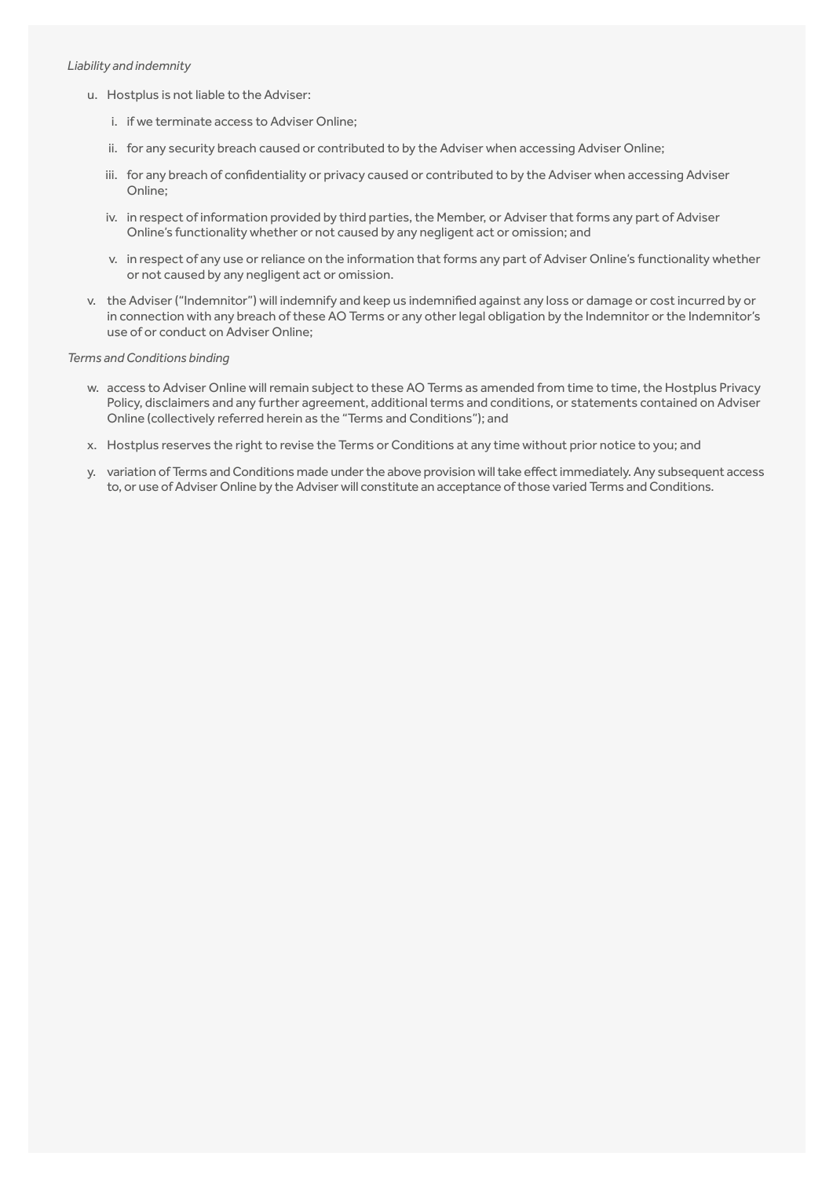#### *Liability and indemnity*

- u. Hostplus is not liable to the Adviser:
	- i. if we terminate access to Adviser Online;
	- ii. for any security breach caused or contributed to by the Adviser when accessing Adviser Online;
	- iii. for any breach of confidentiality or privacy caused or contributed to by the Adviser when accessing Adviser Online;
	- iv. in respect of information provided by third parties, the Member, or Adviser that forms any part of Adviser Online's functionality whether or not caused by any negligent act or omission; and
	- v. in respect of any use or reliance on the information that forms any part of Adviser Online's functionality whether or not caused by any negligent act or omission.
- v. the Adviser ("Indemnitor") will indemnify and keep us indemnified against any loss or damage or cost incurred by or in connection with any breach of these AO Terms or any other legal obligation by the Indemnitor or the Indemnitor's use of or conduct on Adviser Online;

# *Terms and Conditions binding*

- w. access to Adviser Online will remain subject to these AO Terms as amended from time to time, the Hostplus Privacy Policy, disclaimers and any further agreement, additional terms and conditions, or statements contained on Adviser Online (collectively referred herein as the "Terms and Conditions"); and
- x. Hostplus reserves the right to revise the Terms or Conditions at any time without prior notice to you; and
- y. variation of Terms and Conditions made under the above provision will take effect immediately. Any subsequent access to, or use of Adviser Online by the Adviser will constitute an acceptance of those varied Terms and Conditions.